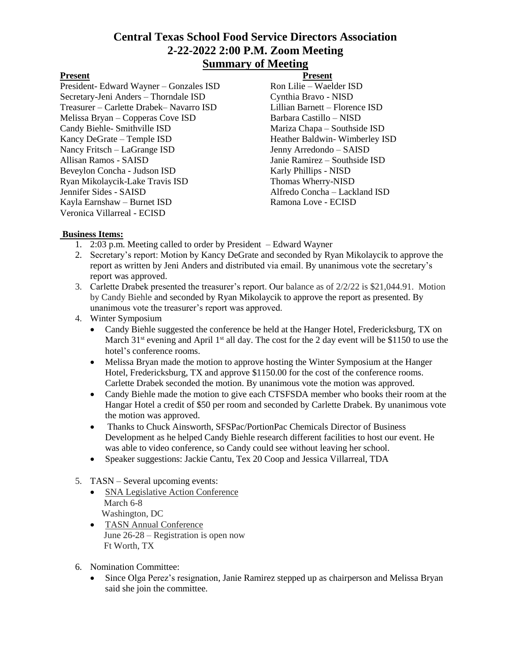# **Central Texas School Food Service Directors Association 2-22-2022 2:00 P.M. Zoom Meeting Summary of Meeting**

President- Edward Wayner – Gonzales ISD Ron Lilie – Waelder ISD Secretary-Jeni Anders – Thorndale ISD Cynthia Bravo - NISD Treasurer – Carlette Drabek– Navarro ISD Lillian Barnett – Florence ISD Melissa Bryan – Copperas Cove ISD Barbara Castillo – NISD Candy Biehle- Smithville ISD Mariza Chapa – Southside ISD Kancy DeGrate – Temple ISD Heather Baldwin- Wimberley ISD Nancy Fritsch – LaGrange ISD Jenny Arredondo – SAISD Allisan Ramos - SAISD Janie Ramirez – Southside ISD Beveylon Concha - Judson ISD Karly Phillips - NISD Ryan Mikolaycik-Lake Travis ISD Thomas Wherry-NISD Jennifer Sides - SAISD Alfredo Concha – Lackland ISD Kayla Earnshaw - Burnet ISD Veronica Villarreal - ECISD

Present Present

### **Business Items:**

- 1. 2:03 p.m. Meeting called to order by President Edward Wayner
- 2. Secretary's report: Motion by Kancy DeGrate and seconded by Ryan Mikolaycik to approve the report as written by Jeni Anders and distributed via email. By unanimous vote the secretary's report was approved.
- 3. Carlette Drabek presented the treasurer's report. Our balance as of 2/2/22 is \$21,044.91. Motion by Candy Biehle and seconded by Ryan Mikolaycik to approve the report as presented. By unanimous vote the treasurer's report was approved.
- 4. Winter Symposium
	- Candy Biehle suggested the conference be held at the Hanger Hotel, Fredericksburg, TX on March  $31<sup>st</sup>$  evening and April  $1<sup>st</sup>$  all day. The cost for the 2 day event will be \$1150 to use the hotel's conference rooms.
	- Melissa Bryan made the motion to approve hosting the Winter Symposium at the Hanger Hotel, Fredericksburg, TX and approve \$1150.00 for the cost of the conference rooms. Carlette Drabek seconded the motion. By unanimous vote the motion was approved.
	- Candy Biehle made the motion to give each CTSFSDA member who books their room at the Hangar Hotel a credit of \$50 per room and seconded by Carlette Drabek. By unanimous vote the motion was approved.
	- Thanks to Chuck Ainsworth, SFSPac/PortionPac Chemicals Director of Business Development as he helped Candy Biehle research different facilities to host our event. He was able to video conference, so Candy could see without leaving her school.
	- Speaker suggestions: Jackie Cantu, Tex 20 Coop and Jessica Villarreal, TDA
- 5. TASN Several upcoming events:
	- SNA Legislative Action Conference March 6-8 Washington, DC
	- TASN Annual Conference June 26-28 – Registration is open now Ft Worth, TX
- 6. Nomination Committee:
	- Since Olga Perez's resignation, Janie Ramirez stepped up as chairperson and Melissa Bryan said she join the committee.